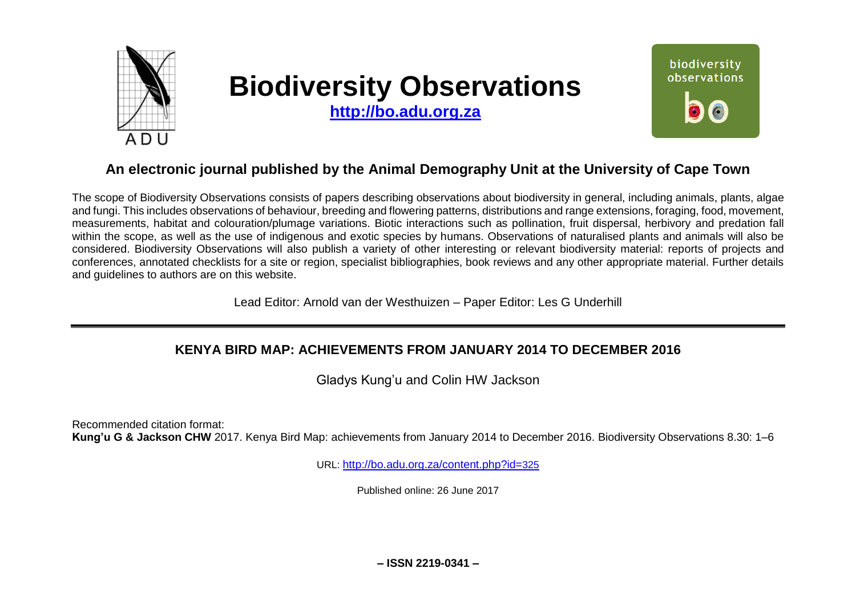

# **Biodiversity Observations**

**[http://bo.adu.org.za](http://bo.adu.org.za/)**



# **An electronic journal published by the Animal Demography Unit at the University of Cape Town**

The scope of Biodiversity Observations consists of papers describing observations about biodiversity in general, including animals, plants, algae and fungi. This includes observations of behaviour, breeding and flowering patterns, distributions and range extensions, foraging, food, movement, measurements, habitat and colouration/plumage variations. Biotic interactions such as pollination, fruit dispersal, herbivory and predation fall within the scope, as well as the use of indigenous and exotic species by humans. Observations of naturalised plants and animals will also be considered. Biodiversity Observations will also publish a variety of other interesting or relevant biodiversity material: reports of projects and conferences, annotated checklists for a site or region, specialist bibliographies, book reviews and any other appropriate material. Further details and guidelines to authors are on this website.

Lead Editor: Arnold van der Westhuizen – Paper Editor: Les G Underhill

# **KENYA BIRD MAP: ACHIEVEMENTS FROM JANUARY 2014 TO DECEMBER 2016**

Gladys Kung'u and Colin HW Jackson

Recommended citation format: **Kung'u G & Jackson CHW** 2017. Kenya Bird Map: achievements from January 2014 to December 2016. Biodiversity Observations 8.30: 1–6

URL: [http://bo.adu.org.za/content.php?id=](http://bo.adu.org.za/content.php?id=325)325

Published online: 26 June 2017

**– ISSN 2219-0341 –**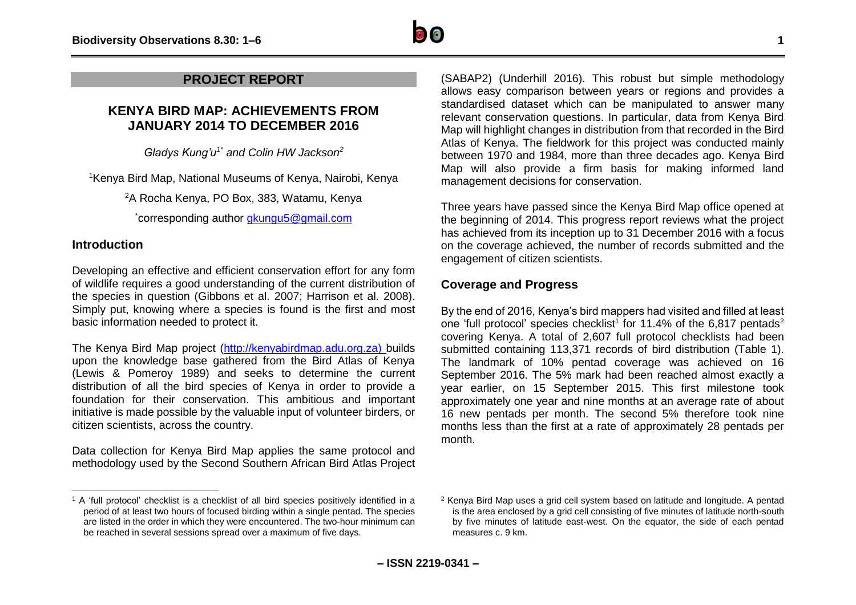# **PROJECT REPORT**

# **KENYA BIRD MAP: ACHIEVEMENTS FROM JANUARY 2014 TO DECEMBER 2016**

*Gladys Kung'u1\* and Colin HW Jackson<sup>2</sup>*

<sup>1</sup> Kenya Bird Map, National Museums of Kenya, Nairobi, Kenya

<sup>2</sup>A Rocha Kenya, PO Box, 383, Watamu, Kenya

\*corresponding author [gkungu5@gmail.com](mailto:gkungu5@gmail.com)

### **Introduction**

-

Developing an effective and efficient conservation effort for any form of wildlife requires a good understanding of the current distribution of the species in question (Gibbons et al. 2007; Harrison et al. 2008). Simply put, knowing where a species is found is the first and most basic information needed to protect it.

The Kenya Bird Map project [\(http://kenyabirdmap.adu.org.za\)](http://kenyabirdmap.adu.org.za/) builds upon the knowledge base gathered from the Bird Atlas of Kenya (Lewis & Pomeroy 1989) and seeks to determine the current distribution of all the bird species of Kenya in order to provide a foundation for their conservation. This ambitious and important initiative is made possible by the valuable input of volunteer birders, or citizen scientists, across the country.

Data collection for Kenya Bird Map applies the same protocol and methodology used by the Second Southern African Bird Atlas Project

(SABAP2) (Underhill 2016). This robust but simple methodology allows easy comparison between years or regions and provides a standardised dataset which can be manipulated to answer many relevant conservation questions. In particular, data from Kenya Bird Map will highlight changes in distribution from that recorded in the Bird Atlas of Kenya. The fieldwork for this project was conducted mainly between 1970 and 1984, more than three decades ago. Kenya Bird Map will also provide a firm basis for making informed land management decisions for conservation.

Three years have passed since the Kenya Bird Map office opened at the beginning of 2014. This progress report reviews what the project has achieved from its inception up to 31 December 2016 with a focus on the coverage achieved, the number of records submitted and the engagement of citizen scientists.

# **Coverage and Progress**

By the end of 2016, Kenya's bird mappers had visited and filled at least one 'full protocol' species checklist<sup>1</sup> for 11.4% of the 6,817 pentads<sup>2</sup> covering Kenya. A total of 2,607 full protocol checklists had been submitted containing 113,371 records of bird distribution (Table 1). The landmark of 10% pentad coverage was achieved on 16 September 2016. The 5% mark had been reached almost exactly a year earlier, on 15 September 2015. This first milestone took approximately one year and nine months at an average rate of about 16 new pentads per month. The second 5% therefore took nine months less than the first at a rate of approximately 28 pentads per month.

<sup>1</sup> A 'full protocol' checklist is a checklist of all bird species positively identified in a period of at least two hours of focused birding within a single pentad. The species are listed in the order in which they were encountered. The two-hour minimum can be reached in several sessions spread over a maximum of five days.

<sup>2</sup> Kenya Bird Map uses a grid cell system based on latitude and longitude. A pentad is the area enclosed by a grid cell consisting of five minutes of latitude north-south by five minutes of latitude east-west. On the equator, the side of each pentad measures c. 9 km.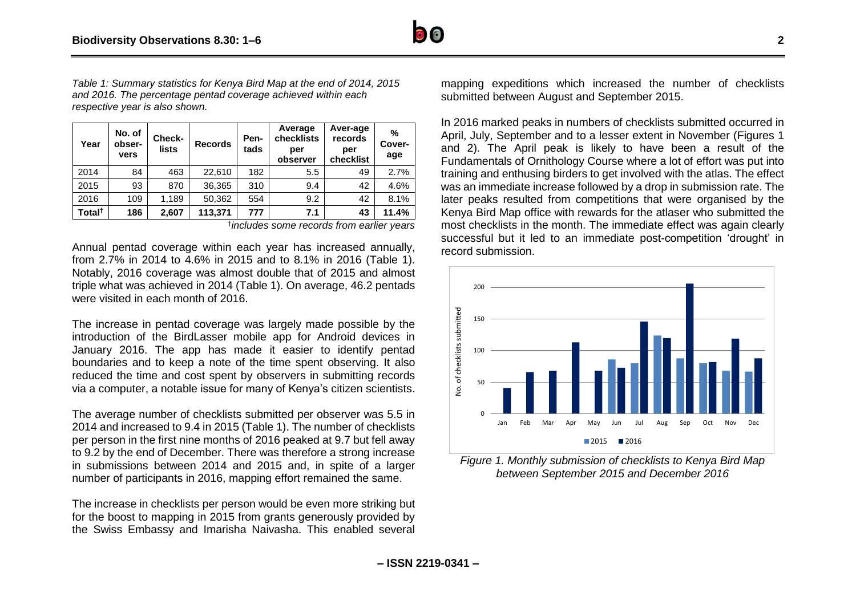

*Table 1: Summary statistics for Kenya Bird Map at the end of 2014, 2015 and 2016. The percentage pentad coverage achieved within each respective year is also shown.*

| Year               | No. of<br>obser-<br>vers | Check-<br>lists | <b>Records</b> | Pen-<br>tads | Average<br>checklists<br>per<br>observer | Aver-age<br>records<br>per<br>checklist | $\frac{0}{0}$<br>Cover-<br>age |
|--------------------|--------------------------|-----------------|----------------|--------------|------------------------------------------|-----------------------------------------|--------------------------------|
| 2014               | 84                       | 463             | 22,610         | 182          | 5.5                                      | 49                                      | 2.7%                           |
| 2015               | 93                       | 870             | 36,365         | 310          | 9.4                                      | 42                                      | 4.6%                           |
| 2016               | 109                      | 1,189           | 50,362         | 554          | 9.2                                      | 42                                      | 8.1%                           |
| Total <sup>†</sup> | 186                      | 2,607           | 113,371        | 777          | 7.1                                      | 43                                      | 11.4%                          |

† *includes some records from earlier years*

Annual pentad coverage within each year has increased annually, from 2.7% in 2014 to 4.6% in 2015 and to 8.1% in 2016 (Table 1). Notably, 2016 coverage was almost double that of 2015 and almost triple what was achieved in 2014 (Table 1). On average, 46.2 pentads were visited in each month of 2016.

The increase in pentad coverage was largely made possible by the introduction of the BirdLasser mobile app for Android devices in January 2016. The app has made it easier to identify pentad boundaries and to keep a note of the time spent observing. It also reduced the time and cost spent by observers in submitting records via a computer, a notable issue for many of Kenya's citizen scientists.

The average number of checklists submitted per observer was 5.5 in 2014 and increased to 9.4 in 2015 (Table 1). The number of checklists per person in the first nine months of 2016 peaked at 9.7 but fell away to 9.2 by the end of December. There was therefore a strong increase in submissions between 2014 and 2015 and, in spite of a larger number of participants in 2016, mapping effort remained the same.

The increase in checklists per person would be even more striking but for the boost to mapping in 2015 from grants generously provided by the Swiss Embassy and Imarisha Naivasha. This enabled several

mapping expeditions which increased the number of checklists submitted between August and September 2015.

In 2016 marked peaks in numbers of checklists submitted occurred in April, July, September and to a lesser extent in November (Figures 1) and 2). The April peak is likely to have been a result of the Fundamentals of Ornithology Course where a lot of effort was put into training and enthusing birders to get involved with the atlas. The effect was an immediate increase followed by a drop in submission rate. The later peaks resulted from competitions that were organised by the Kenya Bird Map office with rewards for the atlaser who submitted the most checklists in the month. The immediate effect was again clearly successful but it led to an immediate post-competition 'drought' in record submission.



*Figure 1. Monthly submission of checklists to Kenya Bird Map between September 2015 and December 2016*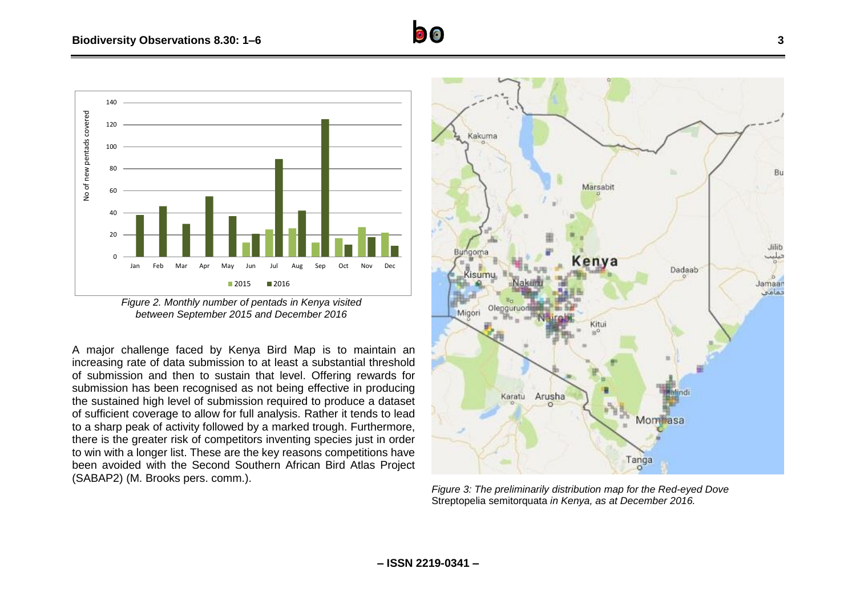# **Biodiversity Observations 8.30: 1–6 3**



*Figure 2. Monthly number of pentads in Kenya visited between September 2015 and December 2016*

A major challenge faced by Kenya Bird Map is to maintain an increasing rate of data submission to at least a substantial threshold of submission and then to sustain that level. Offering rewards for submission has been recognised as not being effective in producing the sustained high level of submission required to produce a dataset of sufficient coverage to allow for full analysis. Rather it tends to lead to a sharp peak of activity followed by a marked trough. Furthermore, there is the greater risk of competitors inventing species just in order to win with a longer list. These are the key reasons competitions have been avoided with the Second Southern African Bird Atlas Project (SABAP2) (M. Brooks pers. comm.).



*Figure 3: The preliminarily distribution map for the Red-eyed Dove*  Streptopelia semitorquata *in Kenya, as at December 2016.*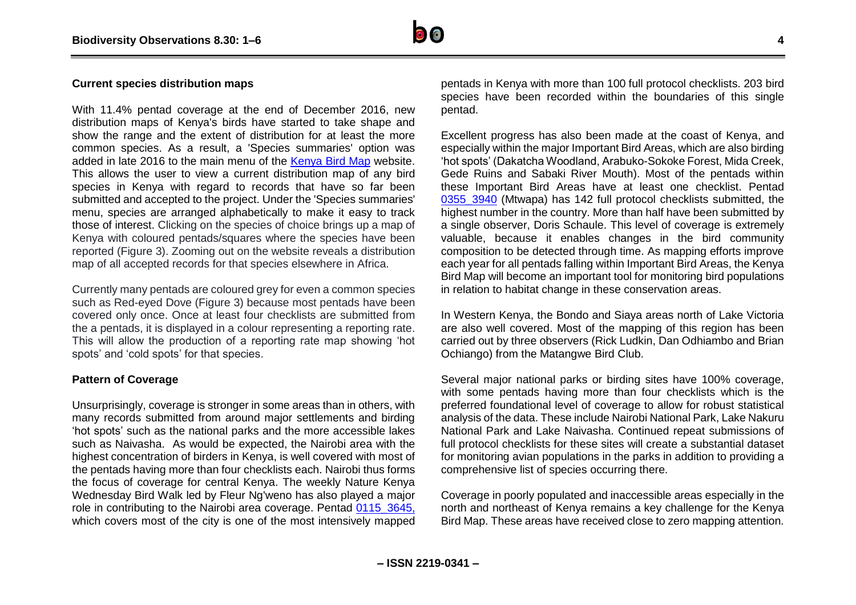#### **Current species distribution maps**

With 11.4% pentad coverage at the end of December 2016, new distribution maps of Kenya's birds have started to take shape and show the range and the extent of distribution for at least the more common species. As a result, a 'Species summaries' option was added in late 2016 to the main menu of the [Kenya Bird Map](http://kenyabirdmap.adu.org.za/index.php) website. This allows the user to view a current distribution map of any bird species in Kenya with regard to records that have so far been submitted and accepted to the project. Under the 'Species summaries' menu, species are arranged alphabetically to make it easy to track those of interest. Clicking on the species of choice brings up a map of Kenya with coloured pentads/squares where the species have been reported (Figure 3). Zooming out on the website reveals a distribution map of all accepted records for that species elsewhere in Africa.

Currently many pentads are coloured grey for even a common species such as Red-eyed Dove (Figure 3) because most pentads have been covered only once. Once at least four checklists are submitted from the a pentads, it is displayed in a colour representing a reporting rate. This will allow the production of a reporting rate map showing 'hot spots' and 'cold spots' for that species.

### **Pattern of Coverage**

Unsurprisingly, coverage is stronger in some areas than in others, with many records submitted from around major settlements and birding 'hot spots' such as the national parks and the more accessible lakes such as Naivasha. As would be expected, the Nairobi area with the highest concentration of birders in Kenya, is well covered with most of the pentads having more than four checklists each. Nairobi thus forms the focus of coverage for central Kenya. The weekly Nature Kenya Wednesday Bird Walk led by Fleur Ng'weno has also played a major role in contributing to the Nairobi area coverage. Pentad [0115\\_3645,](http://kenyabirdmap.adu.org.za/pentad_info.php?pentad=0115_3645#menu_top) which covers most of the city is one of the most intensively mapped

pentads in Kenya with more than 100 full protocol checklists. 203 bird species have been recorded within the boundaries of this single pentad.

Excellent progress has also been made at the coast of Kenya, and especially within the major Important Bird Areas, which are also birding 'hot spots' (Dakatcha Woodland, Arabuko-Sokoke Forest, Mida Creek, Gede Ruins and Sabaki River Mouth). Most of the pentads within these Important Bird Areas have at least one checklist. Pentad 0355 3940 (Mtwapa) has 142 full protocol checklists submitted, the highest number in the country. More than half have been submitted by a single observer, Doris Schaule. This level of coverage is extremely valuable, because it enables changes in the bird community composition to be detected through time. As mapping efforts improve each year for all pentads falling within Important Bird Areas, the Kenya Bird Map will become an important tool for monitoring bird populations in relation to habitat change in these conservation areas.

In Western Kenya, the Bondo and Siaya areas north of Lake Victoria are also well covered. Most of the mapping of this region has been carried out by three observers (Rick Ludkin, Dan Odhiambo and Brian Ochiango) from the Matangwe Bird Club.

Several major national parks or birding sites have 100% coverage, with some pentads having more than four checklists which is the preferred foundational level of coverage to allow for robust statistical analysis of the data. These include Nairobi National Park, Lake Nakuru National Park and Lake Naivasha. Continued repeat submissions of full protocol checklists for these sites will create a substantial dataset for monitoring avian populations in the parks in addition to providing a comprehensive list of species occurring there.

Coverage in poorly populated and inaccessible areas especially in the north and northeast of Kenya remains a key challenge for the Kenya Bird Map. These areas have received close to zero mapping attention.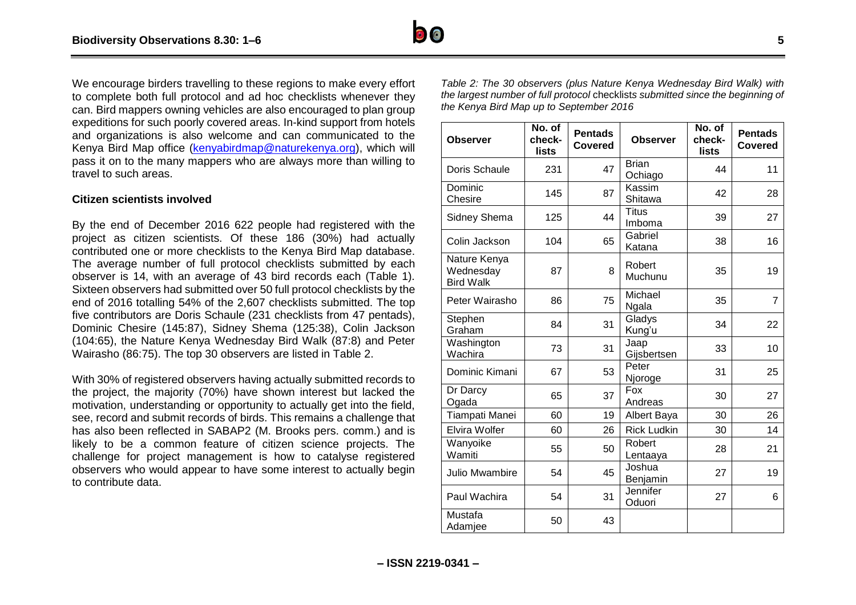We encourage birders travelling to these regions to make every effort to complete both full protocol and ad hoc checklists whenever they can. Bird mappers owning vehicles are also encouraged to plan group expeditions for such poorly covered areas. In-kind support from hotels and organizations is also welcome and can communicated to the Kenya Bird Map office [\(kenyabirdmap@naturekenya.org\)](file:///C:/Documents/Papers%20and%20Articles%20-%20science/Kenya%20Bird%20Map/kenyabirdmap@naturekenya.org), which will pass it on to the many mappers who are always more than willing to travel to such areas.

### **Citizen scientists involved**

By the end of December 2016 622 people had registered with the project as citizen scientists. Of these 186 (30%) had actually contributed one or more checklists to the Kenya Bird Map database. The average number of full protocol checklists submitted by each observer is 14, with an average of 43 bird records each (Table 1). Sixteen observers had submitted over 50 full protocol checklists by the end of 2016 totalling 54% of the 2,607 checklists submitted. The top five contributors are Doris Schaule (231 checklists from 47 pentads), Dominic Chesire (145:87), Sidney Shema (125:38), Colin Jackson (104:65), the Nature Kenya Wednesday Bird Walk (87:8) and Peter Wairasho (86:75). The top 30 observers are listed in Table 2.

With 30% of registered observers having actually submitted records to the project, the majority (70%) have shown interest but lacked the motivation, understanding or opportunity to actually get into the field, see, record and submit records of birds. This remains a challenge that has also been reflected in SABAP2 (M. Brooks pers. comm.) and is likely to be a common feature of citizen science projects. The challenge for project management is how to catalyse registered observers who would appear to have some interest to actually begin to contribute data.

*Table 2: The 30 observers (plus Nature Kenya Wednesday Bird Walk) with the largest number of full protocol* checklist*s submitted since the beginning of the Kenya Bird Map up to September 2016*

| <b>Observer</b>                               | No. of<br>check-<br>lists | <b>Pentads</b><br><b>Covered</b> | <b>Observer</b>         | No. of<br>check-<br>lists | <b>Pentads</b><br><b>Covered</b> |
|-----------------------------------------------|---------------------------|----------------------------------|-------------------------|---------------------------|----------------------------------|
| Doris Schaule                                 | 231                       | 47                               | <b>Brian</b><br>Ochiago | 44                        | 11                               |
| Dominic<br>Chesire                            | 145                       | 87                               | Kassim<br>Shitawa       | 42                        | 28                               |
| Sidney Shema                                  | 125                       | 44                               | <b>Titus</b><br>Imboma  | 39                        | 27                               |
| Colin Jackson                                 | 104                       | 65                               | Gabriel<br>Katana       | 38                        | 16                               |
| Nature Kenya<br>Wednesday<br><b>Bird Walk</b> | 87                        | 8                                | Robert<br>Muchunu       | 35                        | 19                               |
| Peter Wairasho                                | 86                        | 75                               | Michael<br>Ngala        | 35                        | $\overline{7}$                   |
| Stephen<br>Graham                             | 84                        | 31                               | Gladys<br>Kung'u        | 34                        | 22                               |
| Washington<br>Wachira                         | 73                        | 31                               | Jaap<br>Gijsbertsen     | 33                        | 10                               |
| Dominic Kimani                                | 67                        | 53                               | Peter<br>Njoroge        | 31                        | 25                               |
| Dr Darcy<br>Ogada                             | 65                        | 37                               | Fox<br>Andreas          | 30                        | 27                               |
| Tiampati Manei                                | 60                        | 19                               | Albert Baya             | 30                        | 26                               |
| Elvira Wolfer                                 | 60                        | 26                               | <b>Rick Ludkin</b>      | 30                        | 14                               |
| Wanyoike<br>Wamiti                            | 55                        | 50                               | Robert<br>Lentaaya      | 28                        | 21                               |
| Julio Mwambire                                | 54                        | 45                               | Joshua<br>Benjamin      | 27                        | 19                               |
| Paul Wachira                                  | 54                        | 31                               | Jennifer<br>Oduori      | 27                        | 6                                |
| Mustafa<br>Adamjee                            | 50                        | 43                               |                         |                           |                                  |